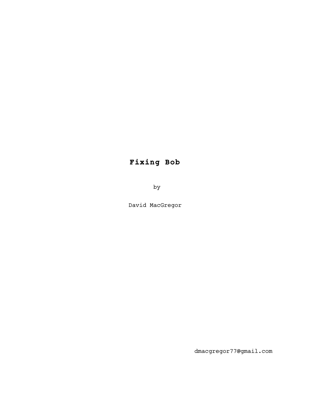# **Fixing Bob**

by

David MacGregor

dmacgregor77@gmail.com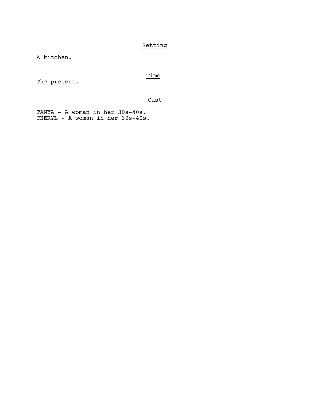# Setting

A kitchen.

# Time

The present.

# Cast

TANYA - A woman in her 30s-40s. CHERYL - A woman in her 30s-40s.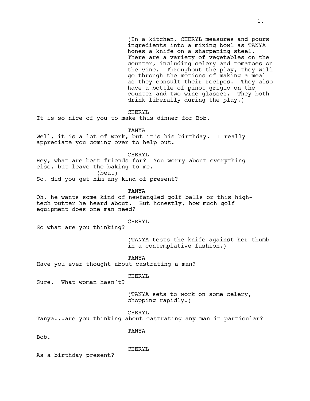(In a kitchen, CHERYL measures and pours ingredients into a mixing bowl as TANYA hones a knife on a sharpening steel. There are a variety of vegetables on the counter, including celery and tomatoes on the vine. Throughout the play, they will go through the motions of making a meal as they consult their recipes. They also have a bottle of pinot grigio on the counter and two wine glasses. They both drink liberally during the play.)

CHERYL

It is so nice of you to make this dinner for Bob.

TANYA

Well, it is a lot of work, but it's his birthday. I really appreciate you coming over to help out.

CHERYL

Hey, what are best friends for? You worry about everything else, but leave the baking to me. (beat) So, did you get him any kind of present?

TANYA

Oh, he wants some kind of newfangled golf balls or this hightech putter he heard about. But honestly, how much golf equipment does one man need?

## CHERYL

So what are you thinking?

(TANYA tests the knife against her thumb in a contemplative fashion.)

TANYA

Have you ever thought about castrating a man?

CHERYL

Sure. What woman hasn't?

(TANYA sets to work on some celery, chopping rapidly.)

CHERYL

Tanya...are you thinking about castrating any man in particular?

TANYA

Bob.

CHERYL

As a birthday present?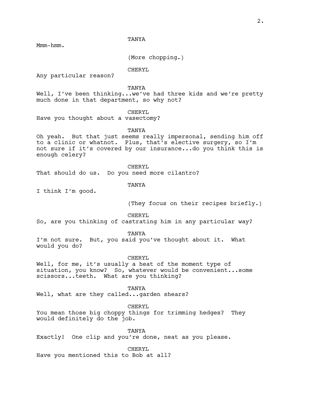Mmm-hmm.

(More chopping.)

CHERYL

Any particular reason?

TANYA

Well, I've been thinking...we've had three kids and we're pretty much done in that department, so why not?

CHERYL

Have you thought about a vasectomy?

TANYA

Oh yeah. But that just seems really impersonal, sending him off to a clinic or whatnot. Plus, that's elective surgery, so I'm not sure if it's covered by our insurance...do you think this is enough celery?

CHERYL

That should do us. Do you need more cilantro?

**TANYA** 

I think I'm good.

(They focus on their recipes briefly.)

CHERYL

So, are you thinking of castrating him in any particular way?

TANYA

I'm not sure. But, you said you've thought about it. What would you do?

CHERYL

Well, for me, it's usually a heat of the moment type of situation, you know? So, whatever would be convenient...some scissors...teeth. What are you thinking?

TANYA

Well, what are they called...garden shears?

CHERYL

You mean those big choppy things for trimming hedges? They would definitely do the job.

TANYA

Exactly! One clip and you're done, neat as you please.

CHERYL

Have you mentioned this to Bob at all?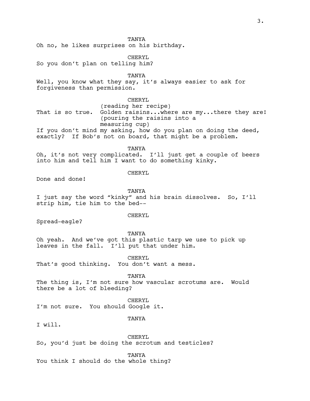Oh no, he likes surprises on his birthday.

CHERYL

So you don't plan on telling him?

TANYA

Well, you know what they say, it's always easier to ask for forgiveness than permission.

# CHERYL

 (reading her recipe) That is so true. Golden raisins...where are my...there they are! (pouring the raisins into a measuring cup) If you don't mind my asking, how do you plan on doing the deed, exactly? If Bob's not on board, that might be a problem.

TANYA

Oh, it's not very complicated. I'll just get a couple of beers into him and tell him I want to do something kinky.

CHERYL

Done and done!

TANYA

I just say the word "kinky" and his brain dissolves. So, I'll strip him, tie him to the bed--

#### CHERYL

Spread-eagle?

#### TANYA

Oh yeah. And we've got this plastic tarp we use to pick up leaves in the fall. I'll put that under him.

CHERYL That's good thinking. You don't want a mess.

TANYA

The thing is, I'm not sure how vascular scrotums are. Would there be a lot of bleeding?

CHERYL I'm not sure. You should Google it.

#### **TANYA**

I will.

CHERYL

So, you'd just be doing the scrotum and testicles?

**TANYA** 

You think I should do the whole thing?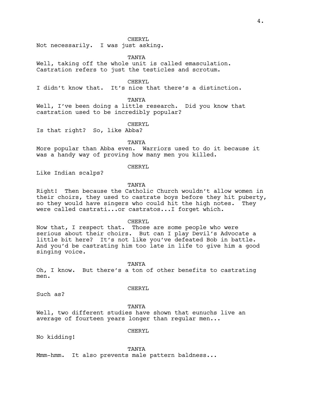#### CHERYL.

Not necessarily. I was just asking.

TANYA

Well, taking off the whole unit is called emasculation. Castration refers to just the testicles and scrotum.

CHERYL

I didn't know that. It's nice that there's a distinction.

TANYA

Well, I've been doing a little research. Did you know that castration used to be incredibly popular?

CHERYL

Is that right? So, like Abba?

TANYA

More popular than Abba even. Warriors used to do it because it was a handy way of proving how many men you killed.

#### CHERYL

Like Indian scalps?

#### **TANYA**

Right! Then because the Catholic Church wouldn't allow women in their choirs, they used to castrate boys before they hit puberty, so they would have singers who could hit the high notes. They were called castrati...or castratos...I forget which.

CHERYL

Now that, I respect that. Those are some people who were serious about their choirs. But can I play Devil's Advocate a little bit here? It's not like you've defeated Bob in battle. And you'd be castrating him too late in life to give him a good singing voice.

TANYA

Oh, I know. But there's a ton of other benefits to castrating men.

CHERYL

Such as?

**TANYA** 

Well, two different studies have shown that eunuchs live an average of fourteen years longer than regular men...

CHERYL

No kidding!

TANYA

Mmm-hmm. It also prevents male pattern baldness...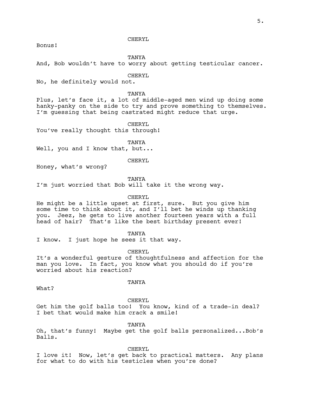## CHERYL

Bonus!

TANYA

And, Bob wouldn't have to worry about getting testicular cancer.

CHERYL

No, he definitely would not.

TANYA

Plus, let's face it, a lot of middle-aged men wind up doing some hanky-panky on the side to try and prove something to themselves. I'm guessing that being castrated might reduce that urge.

CHERYL

You've really thought this through!

TANYA

Well, you and I know that, but...

CHERYL

Honey, what's wrong?

TANYA

I'm just worried that Bob will take it the wrong way.

CHERYL

He might be a little upset at first, sure. But you give him some time to think about it, and I'll bet he winds up thanking you. Jeez, he gets to live another fourteen years with a full head of hair? That's like the best birthday present ever!

TANYA

I know. I just hope he sees it that way.

CHERYL

It's a wonderful gesture of thoughtfulness and affection for the man you love. In fact, you know what you should do if you're worried about his reaction?

TANYA

What?

CHERYL

Get him the golf balls too! You know, kind of a trade-in deal? I bet that would make him crack a smile!

TANYA

Oh, that's funny! Maybe get the golf balls personalized...Bob's Balls.

CHERYL

I love it! Now, let's get back to practical matters. Any plans for what to do with his testicles when you're done?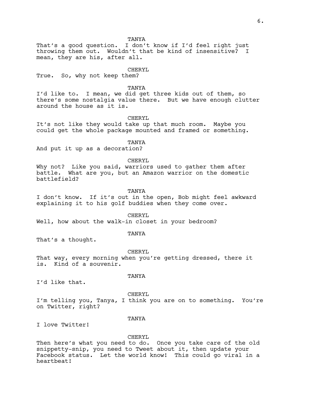That's a good question. I don't know if I'd feel right just throwing them out. Wouldn't that be kind of insensitive? I mean, they are his, after all.

## CHERYL

True. So, why not keep them?

TANYA

I'd like to. I mean, we did get three kids out of them, so there's some nostalgia value there. But we have enough clutter around the house as it is.

CHERYL

It's not like they would take up that much room. Maybe you could get the whole package mounted and framed or something.

TANYA

And put it up as a decoration?

#### CHERYL

Why not? Like you said, warriors used to gather them after battle. What are you, but an Amazon warrior on the domestic battlefield?

TANYA

I don't know. If it's out in the open, Bob might feel awkward explaining it to his golf buddies when they come over.

#### CHERYL

Well, how about the walk-in closet in your bedroom?

#### TANYA

That's a thought.

CHERYL That way, every morning when you're getting dressed, there it is. Kind of a souvenir.

I'd like that.

# TANYA

CHERYL I'm telling you, Tanya, I think you are on to something. You're on Twitter, right?

#### **TANYA**

I love Twitter!

#### CHERYL

Then here's what you need to do. Once you take care of the old snippetty-snip, you need to Tweet about it, then update your Facebook status. Let the world know! This could go viral in a heartbeat!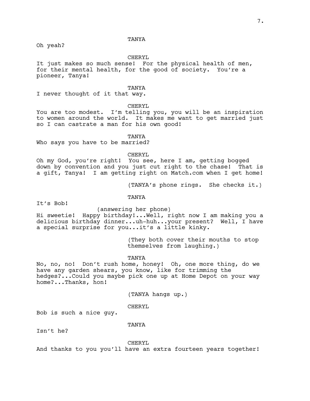Oh yeah?

# CHERYL

It just makes so much sense! For the physical health of men, for their mental health, for the good of society. You're a pioneer, Tanya!

#### TANYA

I never thought of it that way.

# CHERYL

You are too modest. I'm telling you, you will be an inspiration to women around the world. It makes me want to get married just so I can castrate a man for his own good!

#### TANYA

Who says you have to be married?

#### CHERYL

Oh my God, you're right! You see, here I am, getting bogged down by convention and you just cut right to the chase! That is a gift, Tanya! I am getting right on Match.com when I get home!

(TANYA's phone rings. She checks it.)

#### TANYA

It's Bob!

#### (answering her phone)

Hi sweetie! Happy birthday!...Well, right now I am making you a delicious birthday dinner...uh-huh...your present? Well, I have a special surprise for you...it's a little kinky.

> (They both cover their mouths to stop themselves from laughing.)

#### TANYA

No, no, no! Don't rush home, honey! Oh, one more thing, do we have any garden shears, you know, like for trimming the hedges?...Could you maybe pick one up at Home Depot on your way home?...Thanks, hon!

(TANYA hangs up.)

# CHERYL

Bob is such a nice guy.

#### TANYA

Isn't he?

CHERYL

And thanks to you you'll have an extra fourteen years together!